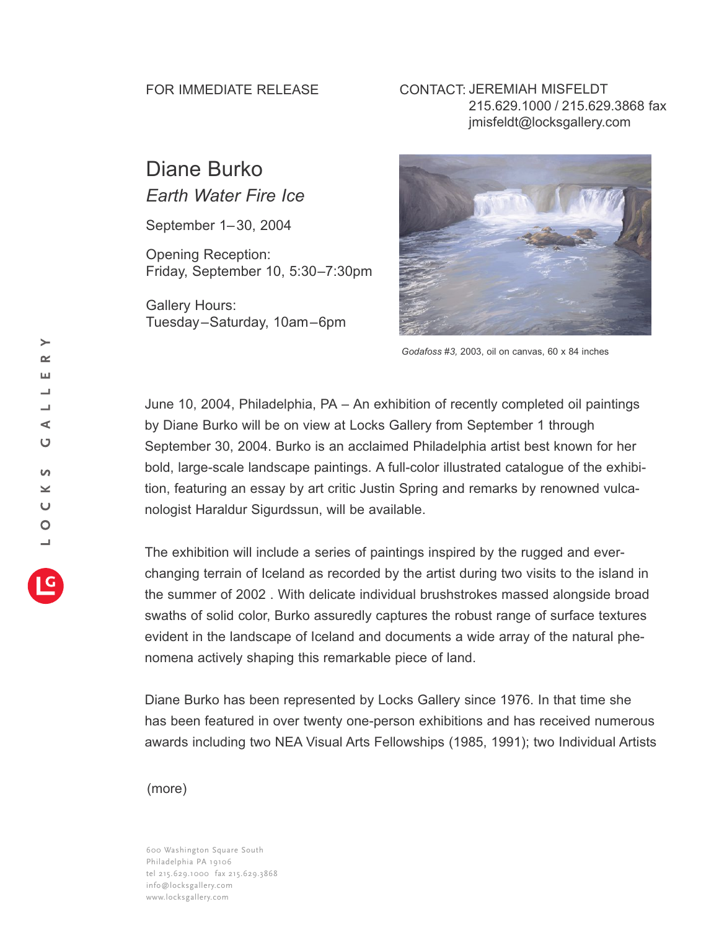### FOR IMMEDIATE RELEASE

## CONTACT: JEREMIAH MISFELDT 215.629.1000 / 215.629.3868 fax jmisfeldt@locksgallery.com

# Diane Burko *Earth Water Fire Ice*

September 1–30, 2004

Opening Reception: Friday, September 10, 5:30–7:30pm

Gallery Hours: Tuesday–Saturday, 10am–6pm



*Godafoss #3,* 2003, oil on canvas, 60 x 84 inches

June 10, 2004, Philadelphia, PA *–* An exhibition of recently completed oil paintings by Diane Burko will be on view at Locks Gallery from September 1 through September 30, 2004. Burko is an acclaimed Philadelphia artist best known for her bold, large-scale landscape paintings. A full-color illustrated catalogue of the exhibition, featuring an essay by art critic Justin Spring and remarks by renowned vulcanologist Haraldur Sigurdssun, will be available.

The exhibition will include a series of paintings inspired by the rugged and everchanging terrain of Iceland as recorded by the artist during two visits to the island in the summer of 2002 . With delicate individual brushstrokes massed alongside broad swaths of solid color, Burko assuredly captures the robust range of surface textures evident in the landscape of Iceland and documents a wide array of the natural phenomena actively shaping this remarkable piece of land.

Diane Burko has been represented by Locks Gallery since 1976. In that time she has been featured in over twenty one-person exhibitions and has received numerous awards including two NEA Visual Arts Fellowships (1985, 1991); two Individual Artists

### (more)

600 Washington Square South Philadelphia PA 19106 tel 215.629.1000 fax 215.629.3868 info@locksgallery.com www.locksgallery.com

 $\geq$